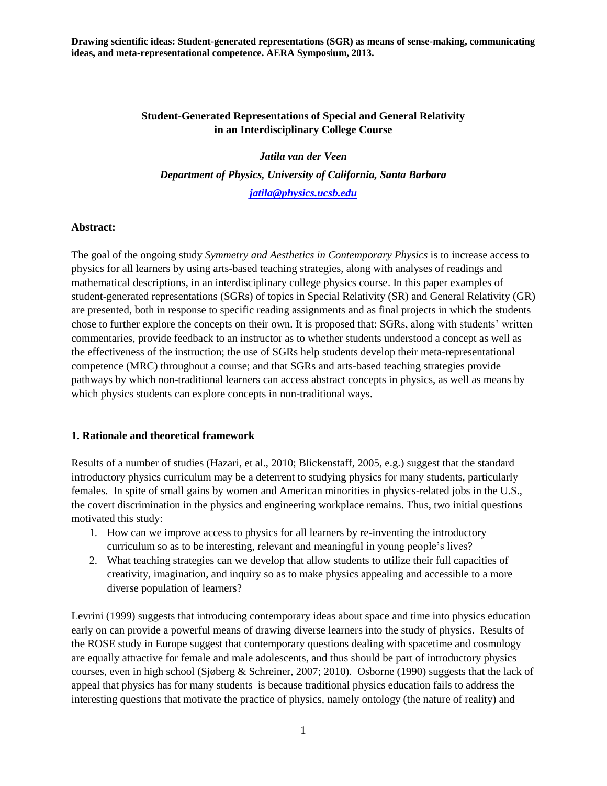### **Student-Generated Representations of Special and General Relativity in an Interdisciplinary College Course**

*Jatila van der Veen Department of Physics, University of California, Santa Barbara [jatila@physics.ucsb.edu](mailto:jatila@physics.ucsb.edu)*

#### **Abstract:**

The goal of the ongoing study *Symmetry and Aesthetics in Contemporary Physics* is to increase access to physics for all learners by using arts-based teaching strategies, along with analyses of readings and mathematical descriptions, in an interdisciplinary college physics course. In this paper examples of student-generated representations (SGRs) of topics in Special Relativity (SR) and General Relativity (GR) are presented, both in response to specific reading assignments and as final projects in which the students chose to further explore the concepts on their own. It is proposed that: SGRs, along with students' written commentaries, provide feedback to an instructor as to whether students understood a concept as well as the effectiveness of the instruction; the use of SGRs help students develop their meta-representational competence (MRC) throughout a course; and that SGRs and arts-based teaching strategies provide pathways by which non-traditional learners can access abstract concepts in physics, as well as means by which physics students can explore concepts in non-traditional ways.

#### **1. Rationale and theoretical framework**

Results of a number of studies (Hazari, et al., 2010; Blickenstaff, 2005, e.g.) suggest that the standard introductory physics curriculum may be a deterrent to studying physics for many students, particularly females. In spite of small gains by women and American minorities in physics-related jobs in the U.S., the covert discrimination in the physics and engineering workplace remains. Thus, two initial questions motivated this study:

- 1. How can we improve access to physics for all learners by re-inventing the introductory curriculum so as to be interesting, relevant and meaningful in young people's lives?
- 2. What teaching strategies can we develop that allow students to utilize their full capacities of creativity, imagination, and inquiry so as to make physics appealing and accessible to a more diverse population of learners?

Levrini (1999) suggests that introducing contemporary ideas about space and time into physics education early on can provide a powerful means of drawing diverse learners into the study of physics. Results of the ROSE study in Europe suggest that contemporary questions dealing with spacetime and cosmology are equally attractive for female and male adolescents, and thus should be part of introductory physics courses, even in high school (Sjøberg & Schreiner, 2007; 2010). Osborne (1990) suggests that the lack of appeal that physics has for many students is because traditional physics education fails to address the interesting questions that motivate the practice of physics, namely ontology (the nature of reality) and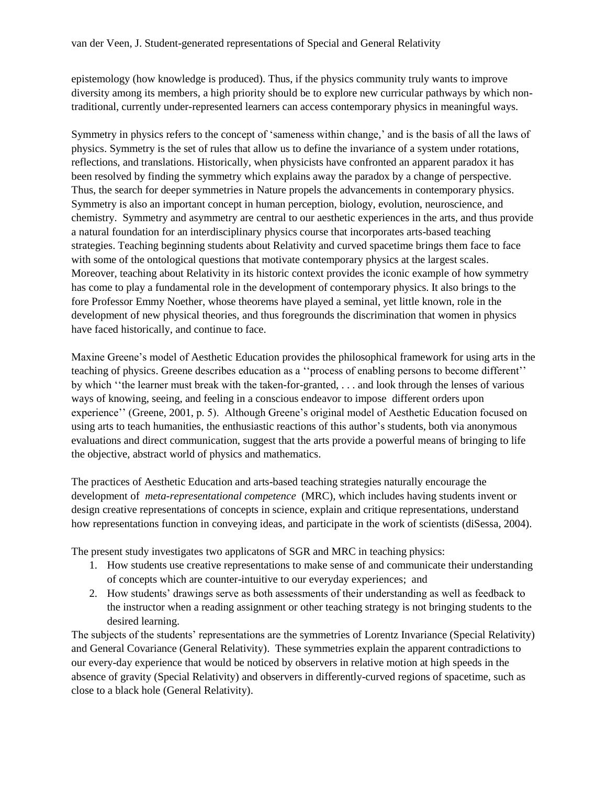epistemology (how knowledge is produced). Thus, if the physics community truly wants to improve diversity among its members, a high priority should be to explore new curricular pathways by which nontraditional, currently under-represented learners can access contemporary physics in meaningful ways.

Symmetry in physics refers to the concept of ‗sameness within change,' and is the basis of all the laws of physics. Symmetry is the set of rules that allow us to define the invariance of a system under rotations, reflections, and translations. Historically, when physicists have confronted an apparent paradox it has been resolved by finding the symmetry which explains away the paradox by a change of perspective. Thus, the search for deeper symmetries in Nature propels the advancements in contemporary physics. Symmetry is also an important concept in human perception, biology, evolution, neuroscience, and chemistry. Symmetry and asymmetry are central to our aesthetic experiences in the arts, and thus provide a natural foundation for an interdisciplinary physics course that incorporates arts-based teaching strategies. Teaching beginning students about Relativity and curved spacetime brings them face to face with some of the ontological questions that motivate contemporary physics at the largest scales. Moreover, teaching about Relativity in its historic context provides the iconic example of how symmetry has come to play a fundamental role in the development of contemporary physics. It also brings to the fore Professor Emmy Noether, whose theorems have played a seminal, yet little known, role in the development of new physical theories, and thus foregrounds the discrimination that women in physics have faced historically, and continue to face.

Maxine Greene's model of Aesthetic Education provides the philosophical framework for using arts in the teaching of physics. Greene describes education as a "process of enabling persons to become different" by which "the learner must break with the taken-for-granted, . . . and look through the lenses of various ways of knowing, seeing, and feeling in a conscious endeavor to impose different orders upon experience'' (Greene, 2001, p. 5). Although Greene's original model of Aesthetic Education focused on using arts to teach humanities, the enthusiastic reactions of this author's students, both via anonymous evaluations and direct communication, suggest that the arts provide a powerful means of bringing to life the objective, abstract world of physics and mathematics.

The practices of Aesthetic Education and arts-based teaching strategies naturally encourage the development of *meta-representational competence* (MRC), which includes having students invent or design creative representations of concepts in science, explain and critique representations, understand how representations function in conveying ideas, and participate in the work of scientists (diSessa, 2004).

The present study investigates two applicatons of SGR and MRC in teaching physics:

- 1. How students use creative representations to make sense of and communicate their understanding of concepts which are counter-intuitive to our everyday experiences; and
- 2. How students' drawings serve as both assessments of their understanding as well as feedback to the instructor when a reading assignment or other teaching strategy is not bringing students to the desired learning.

The subjects of the students' representations are the symmetries of Lorentz Invariance (Special Relativity) and General Covariance (General Relativity). These symmetries explain the apparent contradictions to our every-day experience that would be noticed by observers in relative motion at high speeds in the absence of gravity (Special Relativity) and observers in differently-curved regions of spacetime, such as close to a black hole (General Relativity).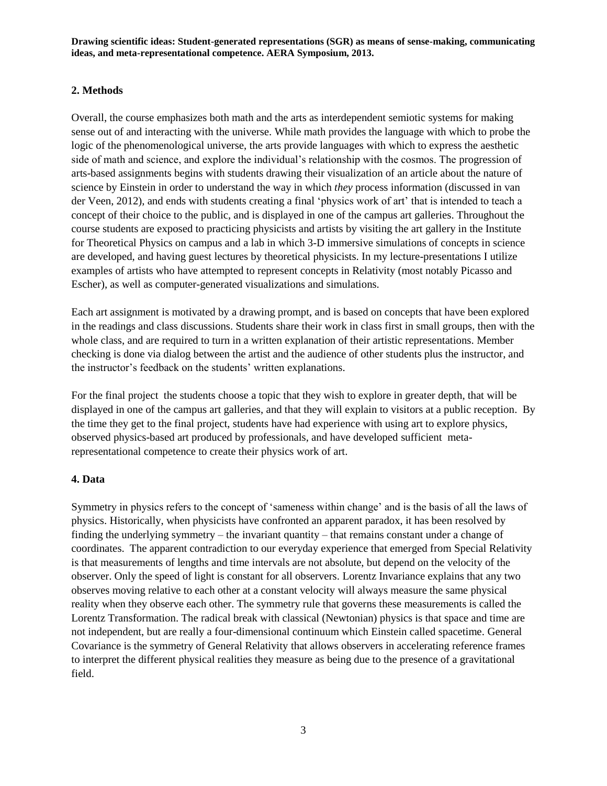# **2. Methods**

Overall, the course emphasizes both math and the arts as interdependent semiotic systems for making sense out of and interacting with the universe. While math provides the language with which to probe the logic of the phenomenological universe, the arts provide languages with which to express the aesthetic side of math and science, and explore the individual's relationship with the cosmos. The progression of arts-based assignments begins with students drawing their visualization of an article about the nature of science by Einstein in order to understand the way in which *they* process information (discussed in van der Veen, 2012), and ends with students creating a final 'physics work of art' that is intended to teach a concept of their choice to the public, and is displayed in one of the campus art galleries. Throughout the course students are exposed to practicing physicists and artists by visiting the art gallery in the Institute for Theoretical Physics on campus and a lab in which 3-D immersive simulations of concepts in science are developed, and having guest lectures by theoretical physicists. In my lecture-presentations I utilize examples of artists who have attempted to represent concepts in Relativity (most notably Picasso and Escher), as well as computer-generated visualizations and simulations.

Each art assignment is motivated by a drawing prompt, and is based on concepts that have been explored in the readings and class discussions. Students share their work in class first in small groups, then with the whole class, and are required to turn in a written explanation of their artistic representations. Member checking is done via dialog between the artist and the audience of other students plus the instructor, and the instructor's feedback on the students' written explanations.

For the final project the students choose a topic that they wish to explore in greater depth, that will be displayed in one of the campus art galleries, and that they will explain to visitors at a public reception. By the time they get to the final project, students have had experience with using art to explore physics, observed physics-based art produced by professionals, and have developed sufficient metarepresentational competence to create their physics work of art.

## **4. Data**

Symmetry in physics refers to the concept of 'sameness within change' and is the basis of all the laws of physics. Historically, when physicists have confronted an apparent paradox, it has been resolved by finding the underlying symmetry – the invariant quantity – that remains constant under a change of coordinates. The apparent contradiction to our everyday experience that emerged from Special Relativity is that measurements of lengths and time intervals are not absolute, but depend on the velocity of the observer. Only the speed of light is constant for all observers. Lorentz Invariance explains that any two observes moving relative to each other at a constant velocity will always measure the same physical reality when they observe each other. The symmetry rule that governs these measurements is called the Lorentz Transformation. The radical break with classical (Newtonian) physics is that space and time are not independent, but are really a four-dimensional continuum which Einstein called spacetime. General Covariance is the symmetry of General Relativity that allows observers in accelerating reference frames to interpret the different physical realities they measure as being due to the presence of a gravitational field.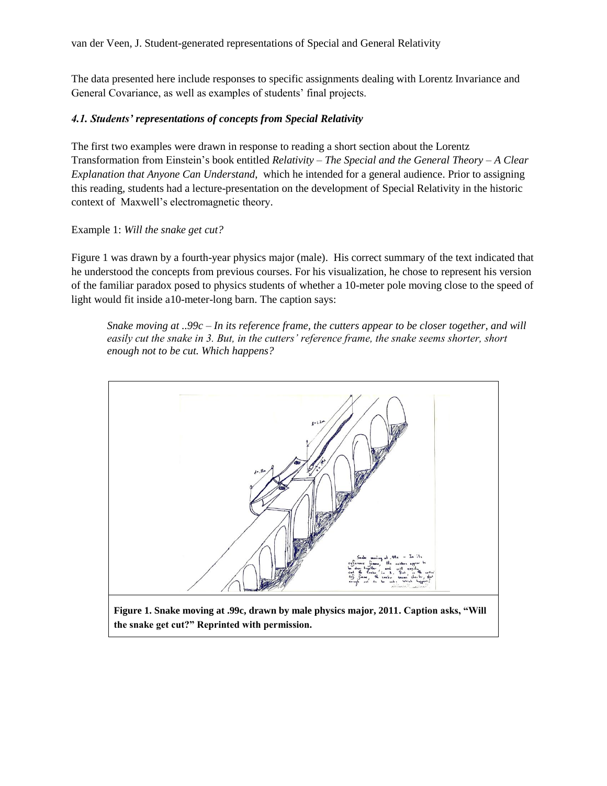The data presented here include responses to specific assignments dealing with Lorentz Invariance and General Covariance, as well as examples of students' final projects.

## *4.1. Students' representations of concepts from Special Relativity*

The first two examples were drawn in response to reading a short section about the Lorentz Transformation from Einstein's book entitled *Relativity – The Special and the General Theory – A Clear Explanation that Anyone Can Understand*, which he intended for a general audience. Prior to assigning this reading, students had a lecture-presentation on the development of Special Relativity in the historic context of Maxwell's electromagnetic theory.

#### Example 1: *Will the snake get cut?*

Figure 1 was drawn by a fourth-year physics major (male). His correct summary of the text indicated that he understood the concepts from previous courses. For his visualization, he chose to represent his version of the familiar paradox posed to physics students of whether a 10-meter pole moving close to the speed of light would fit inside a10-meter-long barn. The caption says:

*Snake moving at ..99c – In its reference frame, the cutters appear to be closer together, and will easily cut the snake in 3. But, in the cutters' reference frame, the snake seems shorter, short enough not to be cut. Which happens?*

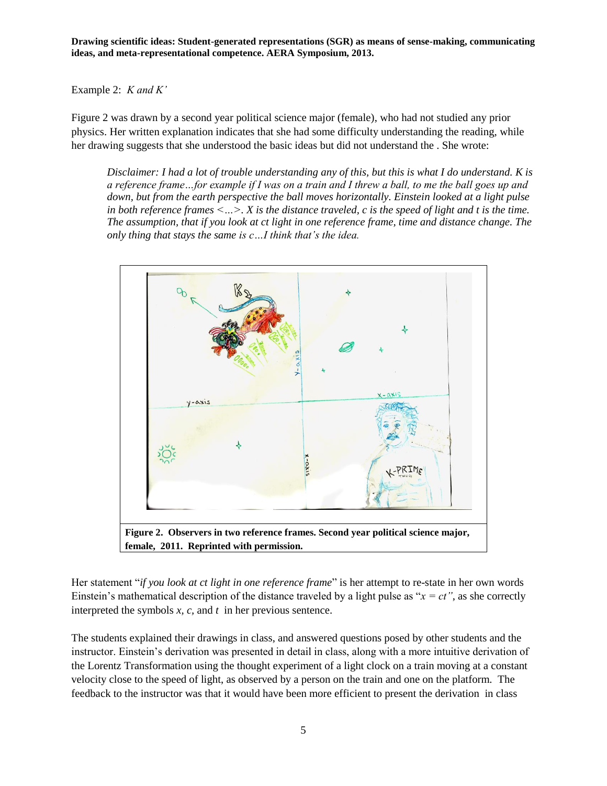Example 2: *K and K'*

Figure 2 was drawn by a second year political science major (female), who had not studied any prior physics. Her written explanation indicates that she had some difficulty understanding the reading, while her drawing suggests that she understood the basic ideas but did not understand the . She wrote:

*Disclaimer: I had a lot of trouble understanding any of this, but this is what I do understand. K is a reference frame…for example if I was on a train and I threw a ball, to me the ball goes up and down, but from the earth perspective the ball moves horizontally. Einstein looked at a light pulse in both reference frames <…>. X is the distance traveled, c is the speed of light and t is the time. The assumption, that if you look at ct light in one reference frame, time and distance change. The only thing that stays the same is c…I think that's the idea.*



Her statement "*if you look at ct light in one reference frame*" is her attempt to re-state in her own words Einstein's mathematical description of the distance traveled by a light pulse as " $x = ct$ ", as she correctly interpreted the symbols *x, c,* and *t* in her previous sentence.

The students explained their drawings in class, and answered questions posed by other students and the instructor. Einstein's derivation was presented in detail in class, along with a more intuitive derivation of the Lorentz Transformation using the thought experiment of a light clock on a train moving at a constant velocity close to the speed of light, as observed by a person on the train and one on the platform. The feedback to the instructor was that it would have been more efficient to present the derivation in class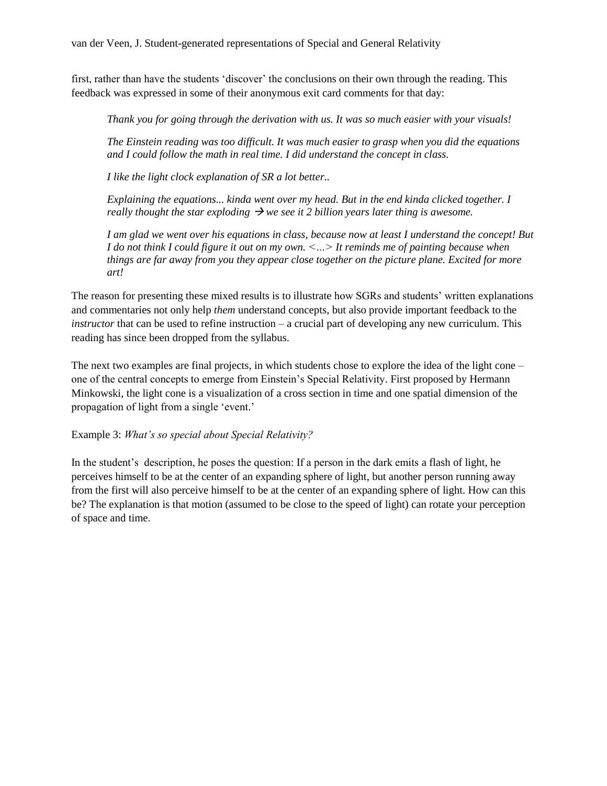first, rather than have the students 'discover' the conclusions on their own through the reading. This feedback was expressed in some of their anonymous exit card comments for that day:

*Thank you for going through the derivation with us. It was so much easier with your visuals!* 

*The Einstein reading was too difficult. It was much easier to grasp when you did the equations and I could follow the math in real time. I did understand the concept in class.*

*I like the light clock explanation of SR a lot better..*

*Explaining the equations... kinda went over my head. But in the end kinda clicked together. I really thought the star exploding*  $\rightarrow$  we see it 2 billion years later thing is awesome.

*I am glad we went over his equations in class, because now at least I understand the concept! But I do not think I could figure it out on my own. <…> It reminds me of painting because when things are far away from you they appear close together on the picture plane. Excited for more art!*

The reason for presenting these mixed results is to illustrate how SGRs and students' written explanations and commentaries not only help *them* understand concepts, but also provide important feedback to the *instructor* that can be used to refine instruction – a crucial part of developing any new curriculum. This reading has since been dropped from the syllabus.

The next two examples are final projects, in which students chose to explore the idea of the light cone – one of the central concepts to emerge from Einstein's Special Relativity. First proposed by Hermann Minkowski, the light cone is a visualization of a cross section in time and one spatial dimension of the propagation of light from a single 'event.'

Example 3: *What's so special about Special Relativity?*

In the student's description, he poses the question: If a person in the dark emits a flash of light, he perceives himself to be at the center of an expanding sphere of light, but another person running away from the first will also perceive himself to be at the center of an expanding sphere of light. How can this be? The explanation is that motion (assumed to be close to the speed of light) can rotate your perception of space and time.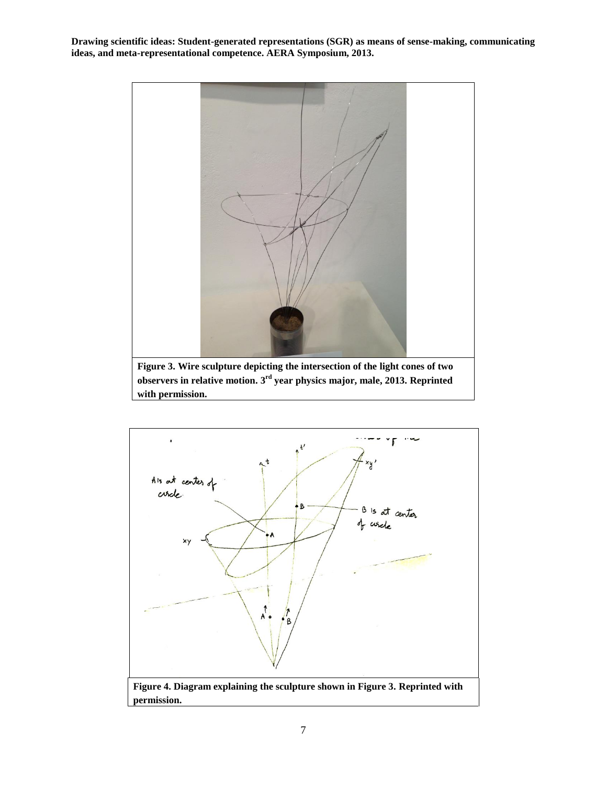

**Figure 3. Wire sculpture depicting the intersection of the light cones of two observers in relative motion. 3rd year physics major, male, 2013. Reprinted with permission.**

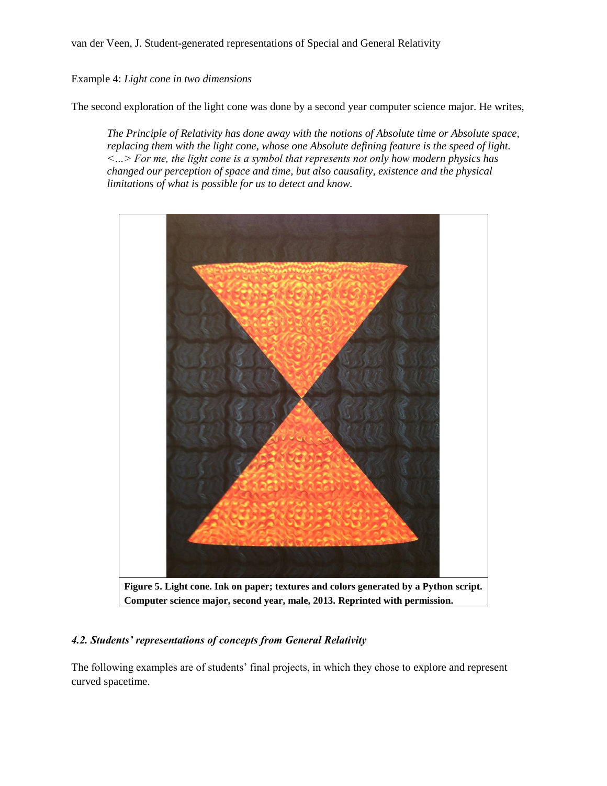Example 4: *Light cone in two dimensions*

The second exploration of the light cone was done by a second year computer science major. He writes,

*The Principle of Relativity has done away with the notions of Absolute time or Absolute space, replacing them with the light cone, whose one Absolute defining feature is the speed of light. <…> For me, the light cone is a symbol that represents not only how modern physics has changed our perception of space and time, but also causality, existence and the physical limitations of what is possible for us to detect and know.*



## *4.2. Students' representations of concepts from General Relativity*

The following examples are of students' final projects, in which they chose to explore and represent curved spacetime.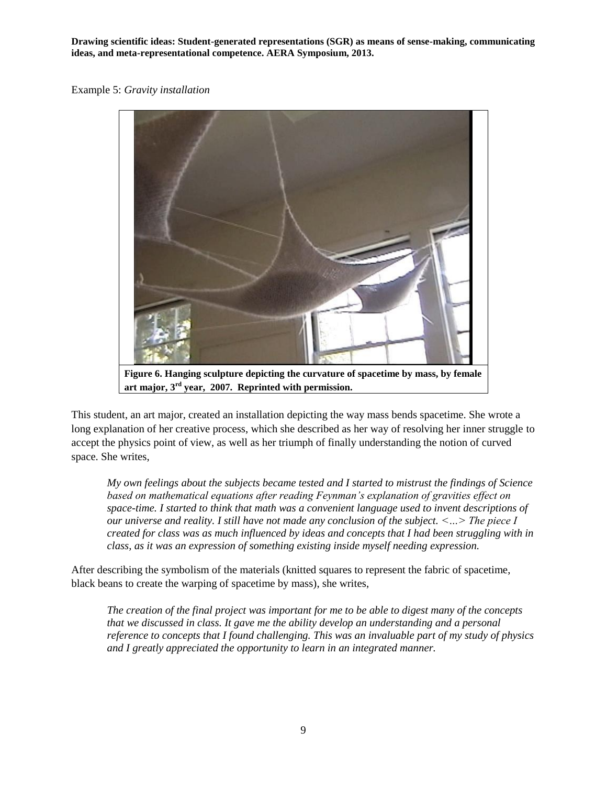Example 5: *Gravity installation*



**art major, 3rd year, 2007. Reprinted with permission.**

This student, an art major, created an installation depicting the way mass bends spacetime. She wrote a long explanation of her creative process, which she described as her way of resolving her inner struggle to accept the physics point of view, as well as her triumph of finally understanding the notion of curved space. She writes,

*My own feelings about the subjects became tested and I started to mistrust the findings of Science based on mathematical equations after reading Feynman's explanation of gravities effect on space-time. I started to think that math was a convenient language used to invent descriptions of our universe and reality. I still have not made any conclusion of the subject. <…> The piece I created for class was as much influenced by ideas and concepts that I had been struggling with in class, as it was an expression of something existing inside myself needing expression.* 

After describing the symbolism of the materials (knitted squares to represent the fabric of spacetime, black beans to create the warping of spacetime by mass), she writes,

*The creation of the final project was important for me to be able to digest many of the concepts that we discussed in class. It gave me the ability develop an understanding and a personal reference to concepts that I found challenging. This was an invaluable part of my study of physics and I greatly appreciated the opportunity to learn in an integrated manner.*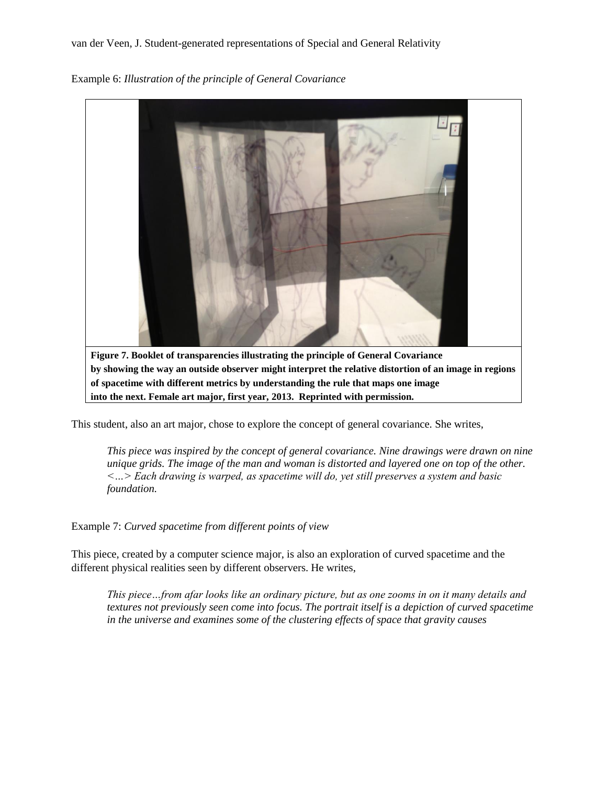Example 6: *Illustration of the principle of General Covariance*



This student, also an art major, chose to explore the concept of general covariance. She writes,

*This piece was inspired by the concept of general covariance. Nine drawings were drawn on nine unique grids. The image of the man and woman is distorted and layered one on top of the other. <…> Each drawing is warped, as spacetime will do, yet still preserves a system and basic foundation.* 

Example 7: *Curved spacetime from different points of view*

This piece, created by a computer science major, is also an exploration of curved spacetime and the different physical realities seen by different observers. He writes,

*This piece…from afar looks like an ordinary picture, but as one zooms in on it many details and textures not previously seen come into focus. The portrait itself is a depiction of curved spacetime in the universe and examines some of the clustering effects of space that gravity causes*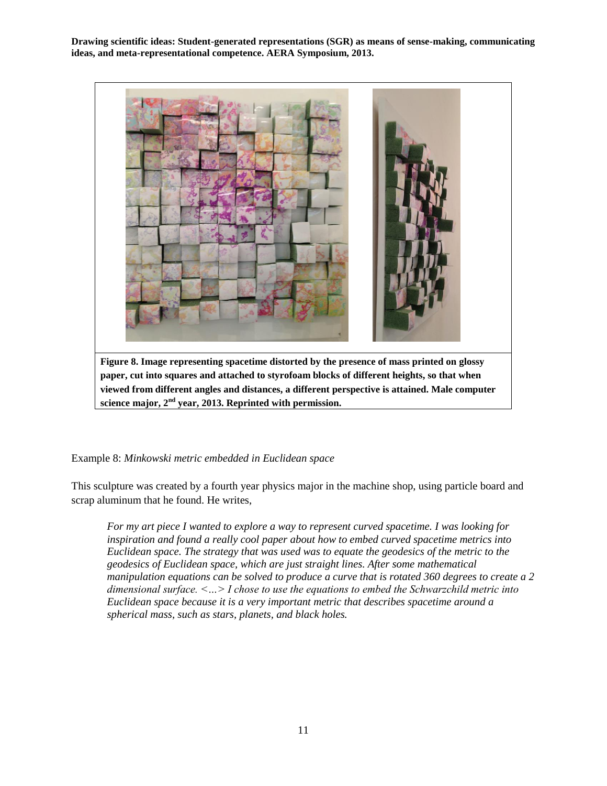

**Figure 8. Image representing spacetime distorted by the presence of mass printed on glossy paper, cut into squares and attached to styrofoam blocks of different heights, so that when viewed from different angles and distances, a different perspective is attained. Male computer science major, 2nd year, 2013. Reprinted with permission.**

Example 8: *Minkowski metric embedded in Euclidean space*

This sculpture was created by a fourth year physics major in the machine shop, using particle board and scrap aluminum that he found. He writes,

*For my art piece I wanted to explore a way to represent curved spacetime. I was looking for inspiration and found a really cool paper about how to embed curved spacetime metrics into Euclidean space. The strategy that was used was to equate the geodesics of the metric to the geodesics of Euclidean space, which are just straight lines. After some mathematical manipulation equations can be solved to produce a curve that is rotated 360 degrees to create a 2 dimensional surface. <…> I chose to use the equations to embed the Schwarzchild metric into Euclidean space because it is a very important metric that describes spacetime around a spherical mass, such as stars, planets, and black holes.*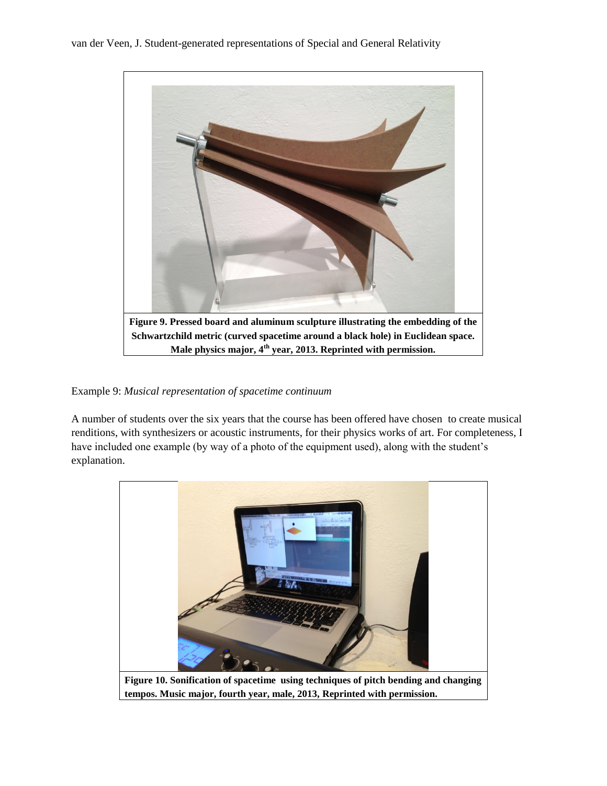

#### Example 9: *Musical representation of spacetime continuum*

A number of students over the six years that the course has been offered have chosen to create musical renditions, with synthesizers or acoustic instruments, for their physics works of art. For completeness, I have included one example (by way of a photo of the equipment used), along with the student's explanation.

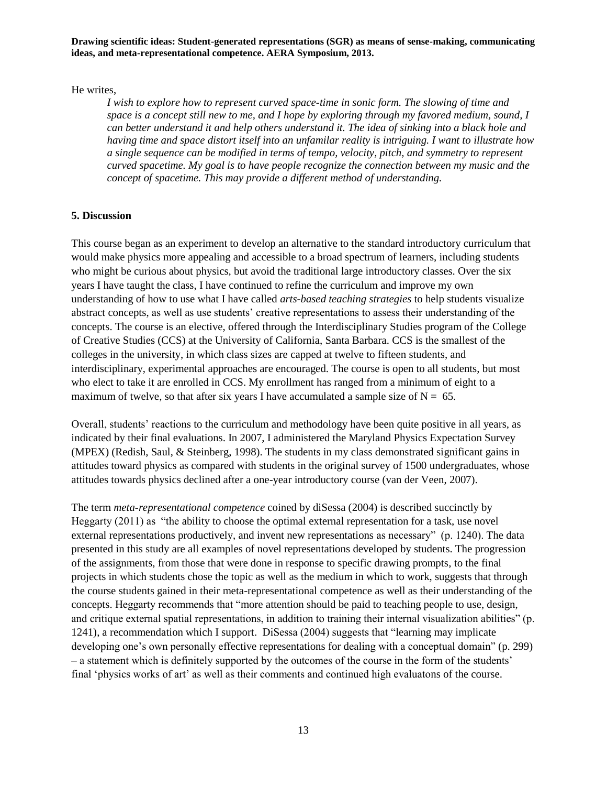He writes,

*I wish to explore how to represent curved space-time in sonic form. The slowing of time and space is a concept still new to me, and I hope by exploring through my favored medium, sound, I can better understand it and help others understand it. The idea of sinking into a black hole and having time and space distort itself into an unfamilar reality is intriguing. I want to illustrate how a single sequence can be modified in terms of tempo, velocity, pitch, and symmetry to represent curved spacetime. My goal is to have people recognize the connection between my music and the concept of spacetime. This may provide a different method of understanding.*

#### **5. Discussion**

This course began as an experiment to develop an alternative to the standard introductory curriculum that would make physics more appealing and accessible to a broad spectrum of learners, including students who might be curious about physics, but avoid the traditional large introductory classes. Over the six years I have taught the class, I have continued to refine the curriculum and improve my own understanding of how to use what I have called *arts-based teaching strategies* to help students visualize abstract concepts, as well as use students' creative representations to assess their understanding of the concepts. The course is an elective, offered through the Interdisciplinary Studies program of the College of Creative Studies (CCS) at the University of California, Santa Barbara. CCS is the smallest of the colleges in the university, in which class sizes are capped at twelve to fifteen students, and interdisciplinary, experimental approaches are encouraged. The course is open to all students, but most who elect to take it are enrolled in CCS. My enrollment has ranged from a minimum of eight to a maximum of twelve, so that after six years I have accumulated a sample size of  $N = 65$ .

Overall, students' reactions to the curriculum and methodology have been quite positive in all years, as indicated by their final evaluations. In 2007, I administered the Maryland Physics Expectation Survey (MPEX) (Redish, Saul, & Steinberg, 1998). The students in my class demonstrated significant gains in attitudes toward physics as compared with students in the original survey of 1500 undergraduates, whose attitudes towards physics declined after a one-year introductory course (van der Veen, 2007).

The term *meta-representational competence* coined by diSessa (2004) is described succinctly by Heggarty  $(2011)$  as "the ability to choose the optimal external representation for a task, use novel external representations productively, and invent new representations as necessary" (p. 1240). The data presented in this study are all examples of novel representations developed by students. The progression of the assignments, from those that were done in response to specific drawing prompts, to the final projects in which students chose the topic as well as the medium in which to work, suggests that through the course students gained in their meta-representational competence as well as their understanding of the concepts. Heggarty recommends that "more attention should be paid to teaching people to use, design, and critique external spatial representations, in addition to training their internal visualization abilities" (p. 1241), a recommendation which I support. DiSessa  $(2004)$  suggests that "learning may implicate developing one's own personally effective representations for dealing with a conceptual domain" (p. 299) – a statement which is definitely supported by the outcomes of the course in the form of the students' final 'physics works of art' as well as their comments and continued high evaluatons of the course.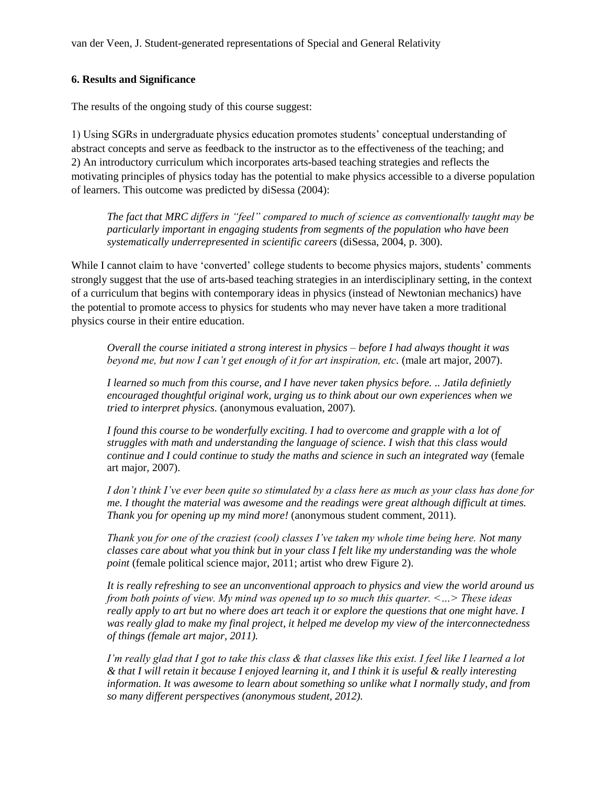### **6. Results and Significance**

The results of the ongoing study of this course suggest:

1) Using SGRs in undergraduate physics education promotes students' conceptual understanding of abstract concepts and serve as feedback to the instructor as to the effectiveness of the teaching; and 2) An introductory curriculum which incorporates arts-based teaching strategies and reflects the motivating principles of physics today has the potential to make physics accessible to a diverse population of learners. This outcome was predicted by diSessa (2004):

*The fact that MRC differs in "feel" compared to much of science as conventionally taught may be particularly important in engaging students from segments of the population who have been systematically underrepresented in scientific careers* (diSessa, 2004, p. 300).

While I cannot claim to have 'converted' college students to become physics majors, students' comments strongly suggest that the use of arts-based teaching strategies in an interdisciplinary setting, in the context of a curriculum that begins with contemporary ideas in physics (instead of Newtonian mechanics) have the potential to promote access to physics for students who may never have taken a more traditional physics course in their entire education.

*Overall the course initiated a strong interest in physics – before I had always thought it was beyond me, but now I can't get enough of it for art inspiration, etc.* (male art major, 2007).

*I learned so much from this course, and I have never taken physics before. .. Jatila definietly encouraged thoughtful original work, urging us to think about our own experiences when we tried to interpret physics.* (anonymous evaluation, 2007)*.*

*I found this course to be wonderfully exciting. I had to overcome and grapple with a lot of struggles with math and understanding the language of science. I wish that this class would continue and I could continue to study the maths and science in such an integrated way* (female art major, 2007).

*I don't think I've ever been quite so stimulated by a class here as much as your class has done for me. I thought the material was awesome and the readings were great although difficult at times. Thank you for opening up my mind more!* (anonymous student comment, 2011).

*Thank you for one of the craziest (cool) classes I've taken my whole time being here. Not many classes care about what you think but in your class I felt like my understanding was the whole point* (female political science major, 2011; artist who drew Figure 2).

*It is really refreshing to see an unconventional approach to physics and view the world around us from both points of view. My mind was opened up to so much this quarter. <…> These ideas really apply to art but no where does art teach it or explore the questions that one might have. I was really glad to make my final project, it helped me develop my view of the interconnectedness of things (female art major, 2011).*

*I'm really glad that I got to take this class & that classes like this exist. I feel like I learned a lot & that I will retain it because I enjoyed learning it, and I think it is useful & really interesting information. It was awesome to learn about something so unlike what I normally study, and from so many different perspectives (anonymous student, 2012).*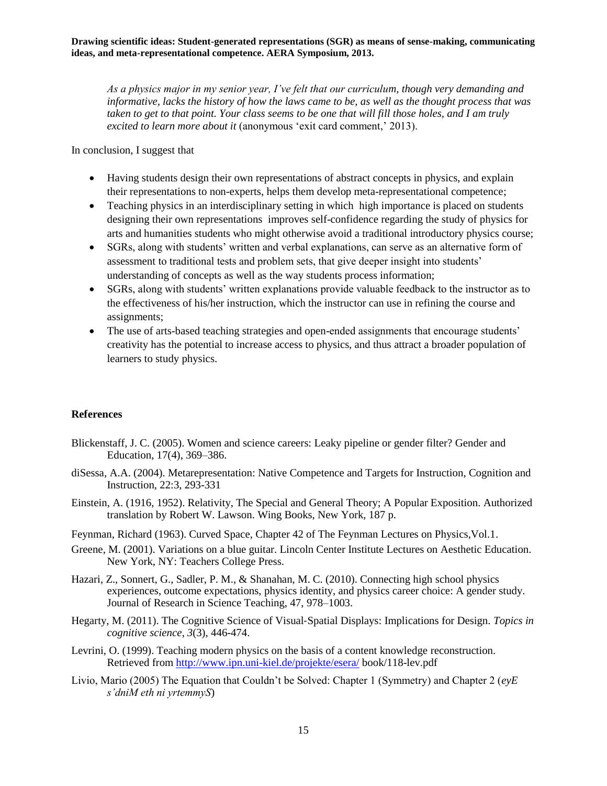*As a physics major in my senior year, I've felt that our curriculum, though very demanding and informative, lacks the history of how the laws came to be, as well as the thought process that was taken to get to that point. Your class seems to be one that will fill those holes, and I am truly excited to learn more about it* (anonymous 'exit card comment,' 2013).

In conclusion, I suggest that

- Having students design their own representations of abstract concepts in physics, and explain their representations to non-experts, helps them develop meta-representational competence;
- Teaching physics in an interdisciplinary setting in which high importance is placed on students designing their own representations improves self-confidence regarding the study of physics for arts and humanities students who might otherwise avoid a traditional introductory physics course;
- SGRs, along with students' written and verbal explanations, can serve as an alternative form of assessment to traditional tests and problem sets, that give deeper insight into students' understanding of concepts as well as the way students process information;
- SGRs, along with students' written explanations provide valuable feedback to the instructor as to the effectiveness of his/her instruction, which the instructor can use in refining the course and assignments;
- The use of arts-based teaching strategies and open-ended assignments that encourage students' creativity has the potential to increase access to physics, and thus attract a broader population of learners to study physics.

## **References**

- Blickenstaff, J. C. (2005). Women and science careers: Leaky pipeline or gender filter? Gender and Education, 17(4), 369–386.
- diSessa, A.A. (2004). Metarepresentation: Native Competence and Targets for Instruction, Cognition and Instruction, 22:3, 293-331
- Einstein, A. (1916, 1952). Relativity, The Special and General Theory; A Popular Exposition. Authorized translation by Robert W. Lawson. Wing Books, New York, 187 p.
- Feynman, Richard (1963). Curved Space, Chapter 42 of The Feynman Lectures on Physics,Vol.1.
- Greene, M. (2001). Variations on a blue guitar. Lincoln Center Institute Lectures on Aesthetic Education. New York, NY: Teachers College Press.
- Hazari, Z., Sonnert, G., Sadler, P. M., & Shanahan, M. C. (2010). Connecting high school physics experiences, outcome expectations, physics identity, and physics career choice: A gender study. Journal of Research in Science Teaching, 47, 978–1003.
- Hegarty, M. (2011). The Cognitive Science of Visual‐Spatial Displays: Implications for Design. *Topics in cognitive science*, *3*(3), 446-474.
- Levrini, O. (1999). Teaching modern physics on the basis of a content knowledge reconstruction. Retrieved fro[m http://www.ipn.uni-kiel.de/projekte/esera/](http://www.ipn.uni-kiel.de/projekte/esera/) book/118-lev.pdf
- Livio, Mario (2005) The Equation that Couldn't be Solved: Chapter 1 (Symmetry) and Chapter 2 (*eyE s'dniM eth ni yrtemmyS*)